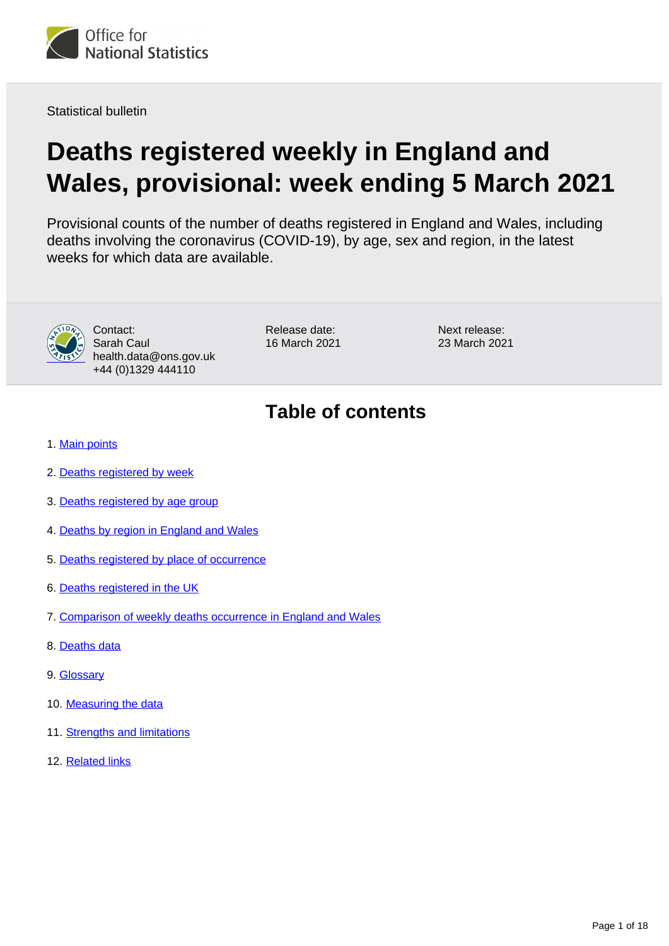

Statistical bulletin

# **Deaths registered weekly in England and Wales, provisional: week ending 5 March 2021**

Provisional counts of the number of deaths registered in England and Wales, including deaths involving the coronavirus (COVID-19), by age, sex and region, in the latest weeks for which data are available.



Contact: Sarah Caul health.data@ons.gov.uk +44 (0)1329 444110

Release date: 16 March 2021 Next release: 23 March 2021

## **Table of contents**

- 1. [Main points](#page-1-0)
- 2. [Deaths registered by week](#page-1-1)
- 3. [Deaths registered by age group](#page-5-0)
- 4. [Deaths by region in England and Wales](#page-5-1)
- 5. [Deaths registered by place of occurrence](#page-7-0)
- 6. [Deaths registered in the UK](#page-11-0)
- 7. [Comparison of weekly deaths occurrence in England and Wales](#page-12-0)
- 8. [Deaths data](#page-12-1)
- 9. [Glossary](#page-13-0)
- 10. [Measuring the data](#page-13-1)
- 11. [Strengths and limitations](#page-17-0)
- 12. [Related links](#page-17-1)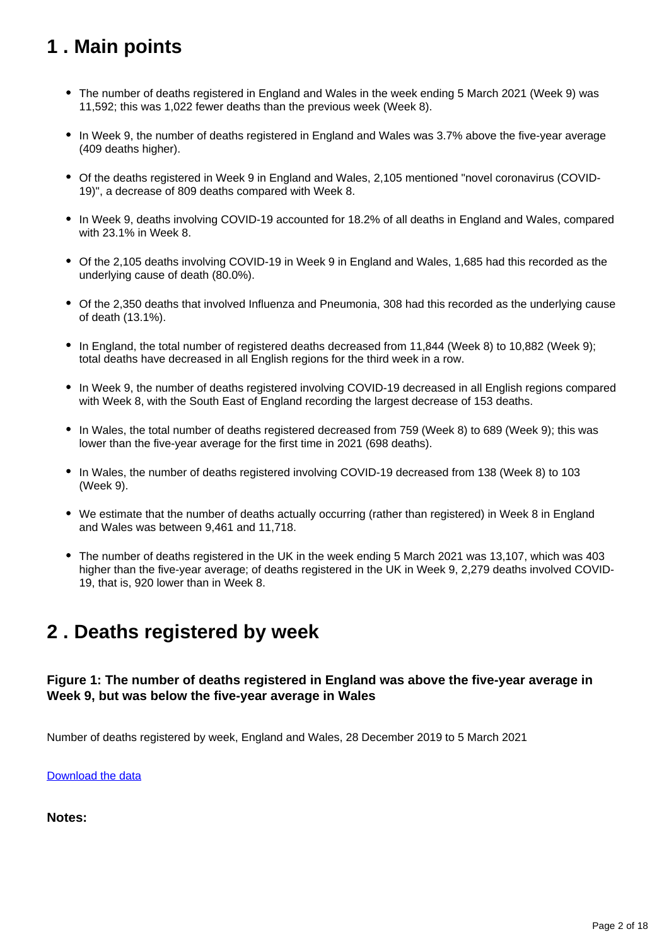## <span id="page-1-0"></span>**1 . Main points**

- The number of deaths registered in England and Wales in the week ending 5 March 2021 (Week 9) was 11,592; this was 1,022 fewer deaths than the previous week (Week 8).
- In Week 9, the number of deaths registered in England and Wales was 3.7% above the five-year average (409 deaths higher).
- Of the deaths registered in Week 9 in England and Wales, 2,105 mentioned "novel coronavirus (COVID-19)", a decrease of 809 deaths compared with Week 8.
- In Week 9, deaths involving COVID-19 accounted for 18.2% of all deaths in England and Wales, compared with 23.1% in Week 8.
- Of the 2,105 deaths involving COVID-19 in Week 9 in England and Wales, 1,685 had this recorded as the underlying cause of death (80.0%).
- Of the 2,350 deaths that involved Influenza and Pneumonia, 308 had this recorded as the underlying cause of death (13.1%).
- In England, the total number of registered deaths decreased from 11,844 (Week 8) to 10,882 (Week 9); total deaths have decreased in all English regions for the third week in a row.
- In Week 9, the number of deaths registered involving COVID-19 decreased in all English regions compared with Week 8, with the South East of England recording the largest decrease of 153 deaths.
- In Wales, the total number of deaths registered decreased from 759 (Week 8) to 689 (Week 9); this was lower than the five-year average for the first time in 2021 (698 deaths).
- In Wales, the number of deaths registered involving COVID-19 decreased from 138 (Week 8) to 103 (Week 9).
- We estimate that the number of deaths actually occurring (rather than registered) in Week 8 in England and Wales was between 9,461 and 11,718.
- The number of deaths registered in the UK in the week ending 5 March 2021 was 13,107, which was 403 higher than the five-year average; of deaths registered in the UK in Week 9, 2,279 deaths involved COVID-19, that is, 920 lower than in Week 8.

## <span id="page-1-1"></span>**2 . Deaths registered by week**

### **Figure 1: The number of deaths registered in England was above the five-year average in Week 9, but was below the five-year average in Wales**

Number of deaths registered by week, England and Wales, 28 December 2019 to 5 March 2021

[Download the data](https://www.ons.gov.uk/visualisations/dvc1241/fig1/datadownload.xlsx)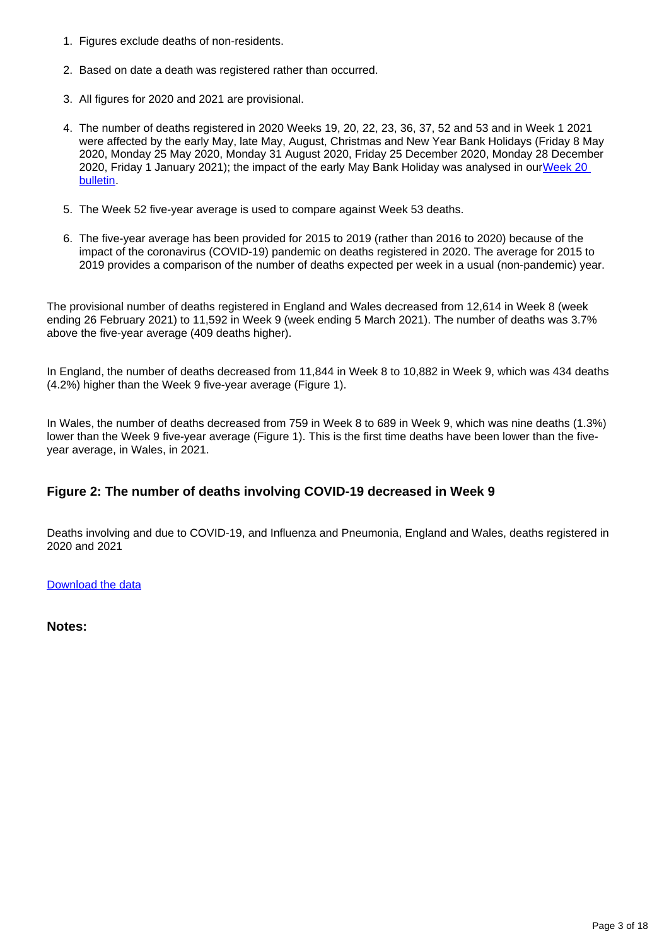- 1. Figures exclude deaths of non-residents.
- 2. Based on date a death was registered rather than occurred.
- 3. All figures for 2020 and 2021 are provisional.
- 4. The number of deaths registered in 2020 Weeks 19, 20, 22, 23, 36, 37, 52 and 53 and in Week 1 2021 were affected by the early May, late May, August, Christmas and New Year Bank Holidays (Friday 8 May 2020, Monday 25 May 2020, Monday 31 August 2020, Friday 25 December 2020, Monday 28 December 2020, Friday 1 January 2021); the impact of the early May Bank Holiday was analysed in ourWeek 20 [bulletin.](https://www.ons.gov.uk/peoplepopulationandcommunity/birthsdeathsandmarriages/deaths/bulletins/deathsregisteredweeklyinenglandandwalesprovisional/weekending15may2020#deaths-registered-by-week)
- 5. The Week 52 five-year average is used to compare against Week 53 deaths.
- 6. The five-year average has been provided for 2015 to 2019 (rather than 2016 to 2020) because of the impact of the coronavirus (COVID-19) pandemic on deaths registered in 2020. The average for 2015 to 2019 provides a comparison of the number of deaths expected per week in a usual (non-pandemic) year.

The provisional number of deaths registered in England and Wales decreased from 12,614 in Week 8 (week ending 26 February 2021) to 11,592 in Week 9 (week ending 5 March 2021). The number of deaths was 3.7% above the five-year average (409 deaths higher).

In England, the number of deaths decreased from 11,844 in Week 8 to 10,882 in Week 9, which was 434 deaths (4.2%) higher than the Week 9 five-year average (Figure 1).

In Wales, the number of deaths decreased from 759 in Week 8 to 689 in Week 9, which was nine deaths (1.3%) lower than the Week 9 five-year average (Figure 1). This is the first time deaths have been lower than the fiveyear average, in Wales, in 2021.

### **Figure 2: The number of deaths involving COVID-19 decreased in Week 9**

Deaths involving and due to COVID-19, and Influenza and Pneumonia, England and Wales, deaths registered in 2020 and 2021

#### [Download the data](https://www.ons.gov.uk/visualisations/dvc1241/fig2/datadownload.xlsx)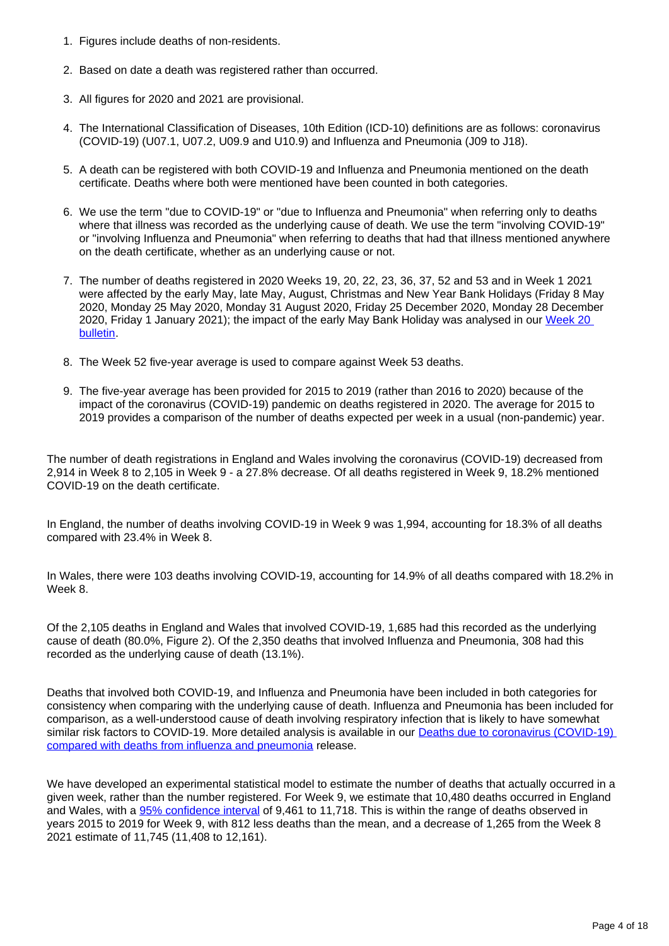- 1. Figures include deaths of non-residents.
- 2. Based on date a death was registered rather than occurred.
- 3. All figures for 2020 and 2021 are provisional.
- 4. The International Classification of Diseases, 10th Edition (ICD-10) definitions are as follows: coronavirus (COVID-19) (U07.1, U07.2, U09.9 and U10.9) and Influenza and Pneumonia (J09 to J18).
- 5. A death can be registered with both COVID-19 and Influenza and Pneumonia mentioned on the death certificate. Deaths where both were mentioned have been counted in both categories.
- 6. We use the term "due to COVID-19" or "due to Influenza and Pneumonia" when referring only to deaths where that illness was recorded as the underlying cause of death. We use the term "involving COVID-19" or "involving Influenza and Pneumonia" when referring to deaths that had that illness mentioned anywhere on the death certificate, whether as an underlying cause or not.
- 7. The number of deaths registered in 2020 Weeks 19, 20, 22, 23, 36, 37, 52 and 53 and in Week 1 2021 were affected by the early May, late May, August, Christmas and New Year Bank Holidays (Friday 8 May 2020, Monday 25 May 2020, Monday 31 August 2020, Friday 25 December 2020, Monday 28 December 2020, Friday 1 January 2021); the impact of the early May Bank Holiday was analysed in our Week 20 **bulletin**
- 8. The Week 52 five-year average is used to compare against Week 53 deaths.
- 9. The five-year average has been provided for 2015 to 2019 (rather than 2016 to 2020) because of the impact of the coronavirus (COVID-19) pandemic on deaths registered in 2020. The average for 2015 to 2019 provides a comparison of the number of deaths expected per week in a usual (non-pandemic) year.

The number of death registrations in England and Wales involving the coronavirus (COVID-19) decreased from 2,914 in Week 8 to 2,105 in Week 9 - a 27.8% decrease. Of all deaths registered in Week 9, 18.2% mentioned COVID-19 on the death certificate.

In England, the number of deaths involving COVID-19 in Week 9 was 1,994, accounting for 18.3% of all deaths compared with 23.4% in Week 8.

In Wales, there were 103 deaths involving COVID-19, accounting for 14.9% of all deaths compared with 18.2% in Week 8.

Of the 2,105 deaths in England and Wales that involved COVID-19, 1,685 had this recorded as the underlying cause of death (80.0%, Figure 2). Of the 2,350 deaths that involved Influenza and Pneumonia, 308 had this recorded as the underlying cause of death (13.1%).

Deaths that involved both COVID-19, and Influenza and Pneumonia have been included in both categories for consistency when comparing with the underlying cause of death. Influenza and Pneumonia has been included for comparison, as a well-understood cause of death involving respiratory infection that is likely to have somewhat similar risk factors to COVID-19. More detailed analysis is available in our [Deaths due to coronavirus \(COVID-19\)](https://www.ons.gov.uk/peoplepopulationandcommunity/birthsdeathsandmarriages/deaths/bulletins/deathsduetocoronaviruscovid19comparedwithdeathsfrominfluenzaandpneumoniaenglandandwales/deathsoccurringbetween1januaryand31august2020)  [compared with deaths from influenza and pneumonia](https://www.ons.gov.uk/peoplepopulationandcommunity/birthsdeathsandmarriages/deaths/bulletins/deathsduetocoronaviruscovid19comparedwithdeathsfrominfluenzaandpneumoniaenglandandwales/deathsoccurringbetween1januaryand31august2020) release.

We have developed an experimental statistical model to estimate the number of deaths that actually occurred in a given week, rather than the number registered. For Week 9, we estimate that 10,480 deaths occurred in England and Wales, with a [95% confidence interval](https://www.ons.gov.uk/methodology/methodologytopicsandstatisticalconcepts/uncertaintyandhowwemeasureit#confidence-interval) of 9,461 to 11,718. This is within the range of deaths observed in years 2015 to 2019 for Week 9, with 812 less deaths than the mean, and a decrease of 1,265 from the Week 8 2021 estimate of 11,745 (11,408 to 12,161).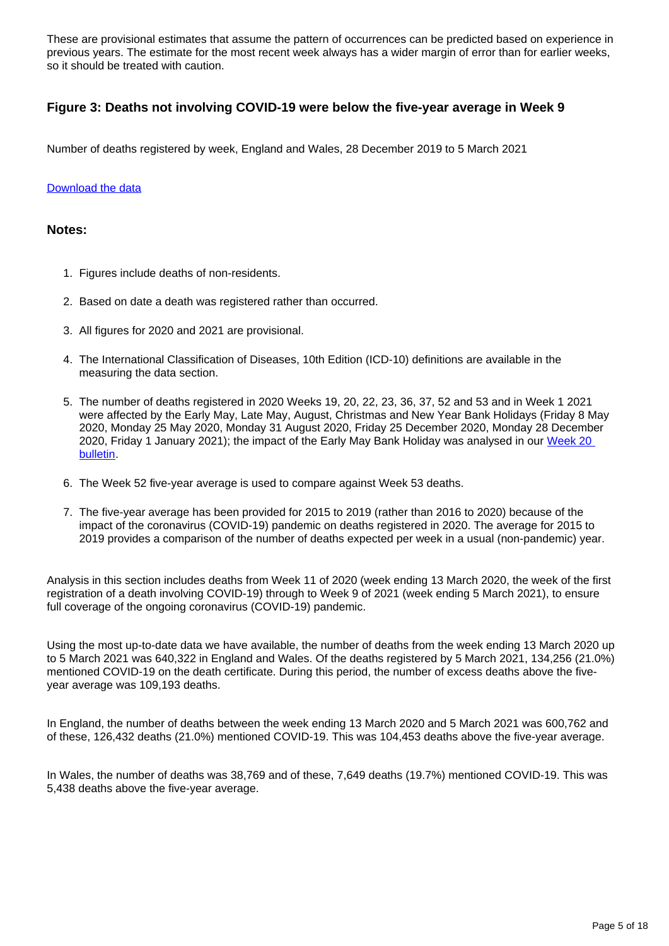These are provisional estimates that assume the pattern of occurrences can be predicted based on experience in previous years. The estimate for the most recent week always has a wider margin of error than for earlier weeks, so it should be treated with caution.

### **Figure 3: Deaths not involving COVID-19 were below the five-year average in Week 9**

Number of deaths registered by week, England and Wales, 28 December 2019 to 5 March 2021

#### [Download the data](https://www.ons.gov.uk/visualisations/dvc1241/fig3/datadownload.xlsx)

#### **Notes:**

- 1. Figures include deaths of non-residents.
- 2. Based on date a death was registered rather than occurred.
- 3. All figures for 2020 and 2021 are provisional.
- 4. The International Classification of Diseases, 10th Edition (ICD-10) definitions are available in the measuring the data section.
- 5. The number of deaths registered in 2020 Weeks 19, 20, 22, 23, 36, 37, 52 and 53 and in Week 1 2021 were affected by the Early May, Late May, August, Christmas and New Year Bank Holidays (Friday 8 May 2020, Monday 25 May 2020, Monday 31 August 2020, Friday 25 December 2020, Monday 28 December 2020, Friday 1 January 2021); the impact of the Early May Bank Holiday was analysed in our Week 20 [bulletin.](https://www.ons.gov.uk/peoplepopulationandcommunity/birthsdeathsandmarriages/deaths/bulletins/deathsregisteredweeklyinenglandandwalesprovisional/weekending15may2020#deaths-registered-by-week)
- 6. The Week 52 five-year average is used to compare against Week 53 deaths.
- 7. The five-year average has been provided for 2015 to 2019 (rather than 2016 to 2020) because of the impact of the coronavirus (COVID-19) pandemic on deaths registered in 2020. The average for 2015 to 2019 provides a comparison of the number of deaths expected per week in a usual (non-pandemic) year.

Analysis in this section includes deaths from Week 11 of 2020 (week ending 13 March 2020, the week of the first registration of a death involving COVID-19) through to Week 9 of 2021 (week ending 5 March 2021), to ensure full coverage of the ongoing coronavirus (COVID-19) pandemic.

Using the most up-to-date data we have available, the number of deaths from the week ending 13 March 2020 up to 5 March 2021 was 640,322 in England and Wales. Of the deaths registered by 5 March 2021, 134,256 (21.0%) mentioned COVID-19 on the death certificate. During this period, the number of excess deaths above the fiveyear average was 109,193 deaths.

In England, the number of deaths between the week ending 13 March 2020 and 5 March 2021 was 600,762 and of these, 126,432 deaths (21.0%) mentioned COVID-19. This was 104,453 deaths above the five-year average.

In Wales, the number of deaths was 38,769 and of these, 7,649 deaths (19.7%) mentioned COVID-19. This was 5,438 deaths above the five-year average.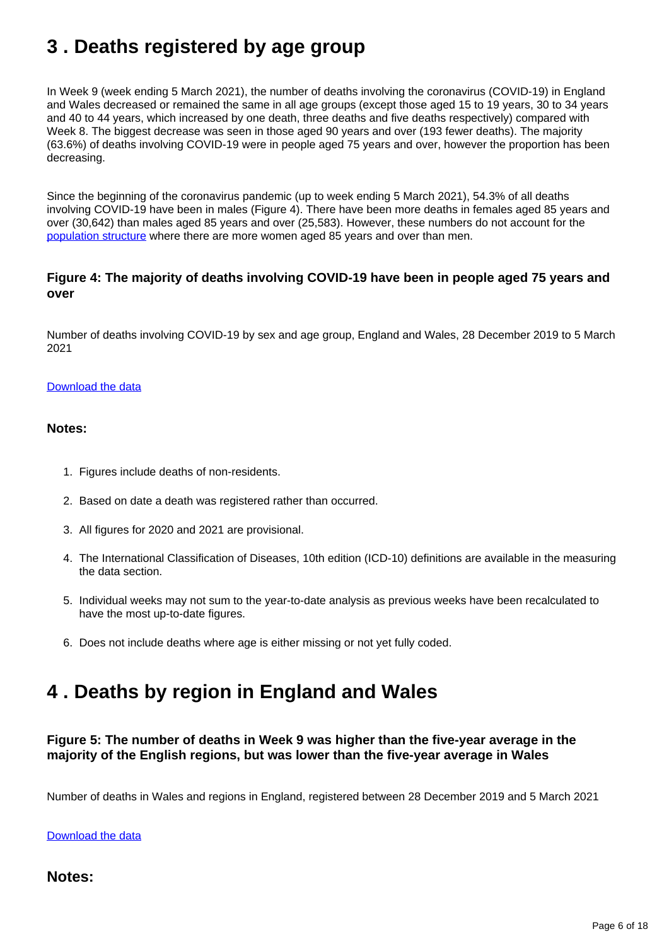## <span id="page-5-0"></span>**3 . Deaths registered by age group**

In Week 9 (week ending 5 March 2021), the number of deaths involving the coronavirus (COVID-19) in England and Wales decreased or remained the same in all age groups (except those aged 15 to 19 years, 30 to 34 years and 40 to 44 years, which increased by one death, three deaths and five deaths respectively) compared with Week 8. The biggest decrease was seen in those aged 90 years and over (193 fewer deaths). The majority (63.6%) of deaths involving COVID-19 were in people aged 75 years and over, however the proportion has been decreasing.

Since the beginning of the coronavirus pandemic (up to week ending 5 March 2021), 54.3% of all deaths involving COVID-19 have been in males (Figure 4). There have been more deaths in females aged 85 years and over (30,642) than males aged 85 years and over (25,583). However, these numbers do not account for the [population structure](https://www.ons.gov.uk/peoplepopulationandcommunity/populationandmigration/populationprojections/datasets/2014basednationalpopulationprojectionstableofcontents) where there are more women aged 85 years and over than men.

### **Figure 4: The majority of deaths involving COVID-19 have been in people aged 75 years and over**

Number of deaths involving COVID-19 by sex and age group, England and Wales, 28 December 2019 to 5 March 2021

#### [Download the data](https://www.ons.gov.uk/visualisations/dvc1241/fig4/datadownload.xlsx)

#### **Notes:**

- 1. Figures include deaths of non-residents.
- 2. Based on date a death was registered rather than occurred.
- 3. All figures for 2020 and 2021 are provisional.
- 4. The International Classification of Diseases, 10th edition (ICD-10) definitions are available in the measuring the data section.
- 5. Individual weeks may not sum to the year-to-date analysis as previous weeks have been recalculated to have the most up-to-date figures.
- 6. Does not include deaths where age is either missing or not yet fully coded.

### <span id="page-5-1"></span>**4 . Deaths by region in England and Wales**

### **Figure 5: The number of deaths in Week 9 was higher than the five-year average in the majority of the English regions, but was lower than the five-year average in Wales**

Number of deaths in Wales and regions in England, registered between 28 December 2019 and 5 March 2021

[Download the data](https://www.ons.gov.uk/visualisations/dvc1241/fig5/datadownload.xlsx)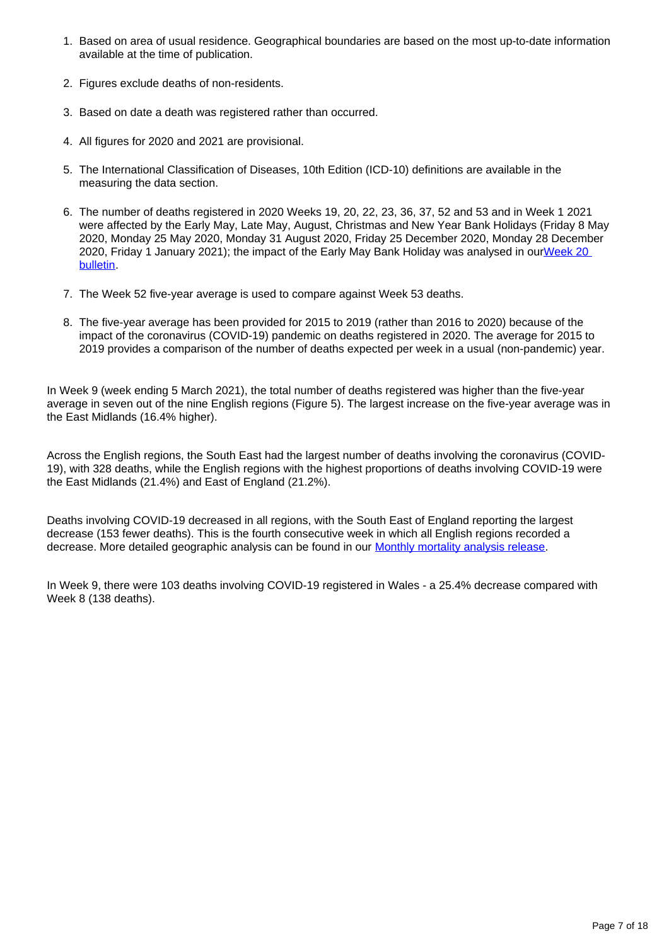- 1. Based on area of usual residence. Geographical boundaries are based on the most up-to-date information available at the time of publication.
- 2. Figures exclude deaths of non-residents.
- 3. Based on date a death was registered rather than occurred.
- 4. All figures for 2020 and 2021 are provisional.
- 5. The International Classification of Diseases, 10th Edition (ICD-10) definitions are available in the measuring the data section.
- 6. The number of deaths registered in 2020 Weeks 19, 20, 22, 23, 36, 37, 52 and 53 and in Week 1 2021 were affected by the Early May, Late May, August, Christmas and New Year Bank Holidays (Friday 8 May 2020, Monday 25 May 2020, Monday 31 August 2020, Friday 25 December 2020, Monday 28 December 2020, Friday 1 January 2021); the impact of the Early May Bank Holiday was analysed in ou[rWeek 20](https://www.ons.gov.uk/peoplepopulationandcommunity/birthsdeathsandmarriages/deaths/bulletins/deathsregisteredweeklyinenglandandwalesprovisional/weekending15may2020#deaths-registered-by-week)  [bulletin.](https://www.ons.gov.uk/peoplepopulationandcommunity/birthsdeathsandmarriages/deaths/bulletins/deathsregisteredweeklyinenglandandwalesprovisional/weekending15may2020#deaths-registered-by-week)
- 7. The Week 52 five-year average is used to compare against Week 53 deaths.
- 8. The five-year average has been provided for 2015 to 2019 (rather than 2016 to 2020) because of the impact of the coronavirus (COVID-19) pandemic on deaths registered in 2020. The average for 2015 to 2019 provides a comparison of the number of deaths expected per week in a usual (non-pandemic) year.

In Week 9 (week ending 5 March 2021), the total number of deaths registered was higher than the five-year average in seven out of the nine English regions (Figure 5). The largest increase on the five-year average was in the East Midlands (16.4% higher).

Across the English regions, the South East had the largest number of deaths involving the coronavirus (COVID-19), with 328 deaths, while the English regions with the highest proportions of deaths involving COVID-19 were the East Midlands (21.4%) and East of England (21.2%).

Deaths involving COVID-19 decreased in all regions, with the South East of England reporting the largest decrease (153 fewer deaths). This is the fourth consecutive week in which all English regions recorded a decrease. More detailed geographic analysis can be found in our **[Monthly mortality analysis release](https://www.ons.gov.uk/peoplepopulationandcommunity/birthsdeathsandmarriages/deaths/bulletins/monthlymortalityanalysisenglandandwales/latest)**.

In Week 9, there were 103 deaths involving COVID-19 registered in Wales - a 25.4% decrease compared with Week 8 (138 deaths).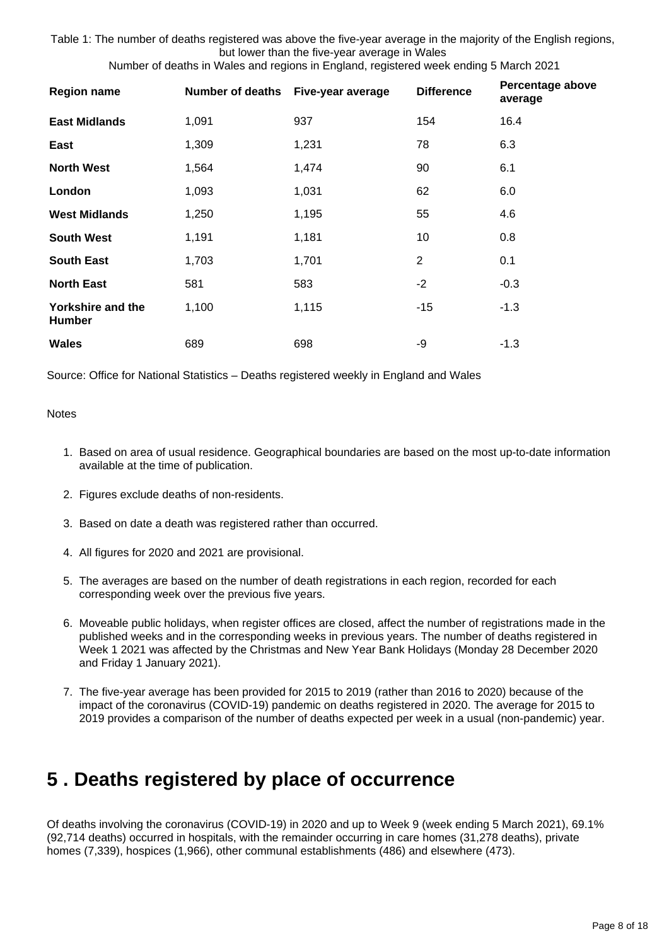Table 1: The number of deaths registered was above the five-year average in the majority of the English regions, but lower than the five-year average in Wales

Number of deaths in Wales and regions in England, registered week ending 5 March 2021

| <b>Region name</b>                        | <b>Number of deaths</b> | Five-year average | <b>Difference</b> | Percentage above<br>average |
|-------------------------------------------|-------------------------|-------------------|-------------------|-----------------------------|
| <b>East Midlands</b>                      | 1,091                   | 937               | 154               | 16.4                        |
| East                                      | 1,309                   | 1,231             | 78                | 6.3                         |
| <b>North West</b>                         | 1,564                   | 1,474             | 90                | 6.1                         |
| London                                    | 1,093                   | 1,031             | 62                | 6.0                         |
| <b>West Midlands</b>                      | 1,250                   | 1,195             | 55                | 4.6                         |
| <b>South West</b>                         | 1,191                   | 1,181             | 10                | 0.8                         |
| <b>South East</b>                         | 1,703                   | 1,701             | 2                 | 0.1                         |
| <b>North East</b>                         | 581                     | 583               | $-2$              | $-0.3$                      |
| <b>Yorkshire and the</b><br><b>Humber</b> | 1,100                   | 1,115             | -15               | $-1.3$                      |
| <b>Wales</b>                              | 689                     | 698               | -9                | $-1.3$                      |

Source: Office for National Statistics – Deaths registered weekly in England and Wales

#### **Notes**

- 1. Based on area of usual residence. Geographical boundaries are based on the most up-to-date information available at the time of publication.
- 2. Figures exclude deaths of non-residents.
- 3. Based on date a death was registered rather than occurred.
- 4. All figures for 2020 and 2021 are provisional.
- 5. The averages are based on the number of death registrations in each region, recorded for each corresponding week over the previous five years.
- 6. Moveable public holidays, when register offices are closed, affect the number of registrations made in the published weeks and in the corresponding weeks in previous years. The number of deaths registered in Week 1 2021 was affected by the Christmas and New Year Bank Holidays (Monday 28 December 2020 and Friday 1 January 2021).
- 7. The five-year average has been provided for 2015 to 2019 (rather than 2016 to 2020) because of the impact of the coronavirus (COVID-19) pandemic on deaths registered in 2020. The average for 2015 to 2019 provides a comparison of the number of deaths expected per week in a usual (non-pandemic) year.

### <span id="page-7-0"></span>**5 . Deaths registered by place of occurrence**

Of deaths involving the coronavirus (COVID-19) in 2020 and up to Week 9 (week ending 5 March 2021), 69.1% (92,714 deaths) occurred in hospitals, with the remainder occurring in care homes (31,278 deaths), private homes (7,339), hospices (1,966), other communal establishments (486) and elsewhere (473).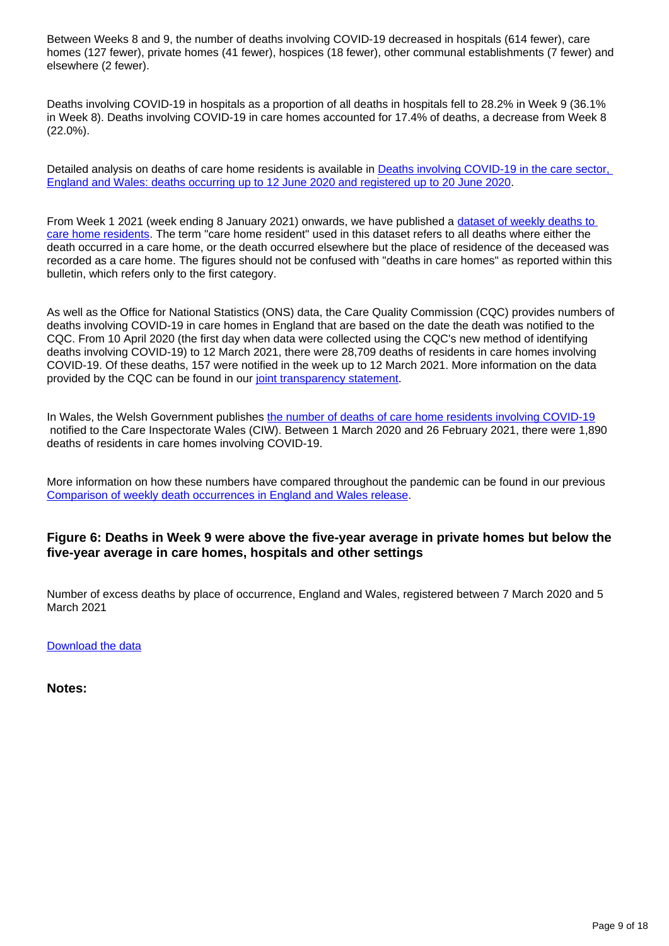Between Weeks 8 and 9, the number of deaths involving COVID-19 decreased in hospitals (614 fewer), care homes (127 fewer), private homes (41 fewer), hospices (18 fewer), other communal establishments (7 fewer) and elsewhere (2 fewer).

Deaths involving COVID-19 in hospitals as a proportion of all deaths in hospitals fell to 28.2% in Week 9 (36.1% in Week 8). Deaths involving COVID-19 in care homes accounted for 17.4% of deaths, a decrease from Week 8 (22.0%).

Detailed analysis on deaths of care home residents is available in [Deaths involving COVID-19 in the care sector,](https://www.ons.gov.uk/releases/deathsinvolvingcovid19inthecaresectorenglandandwalesdeathsoccurringupto12june2020andregisteredupto20june2020provisional)  [England and Wales: deaths occurring up to 12 June 2020 and registered up to 20 June 2020.](https://www.ons.gov.uk/releases/deathsinvolvingcovid19inthecaresectorenglandandwalesdeathsoccurringupto12june2020andregisteredupto20june2020provisional)

From Week 1 2021 (week ending 8 January 2021) onwards, we have published a [dataset of weekly deaths to](https://www.ons.gov.uk/peoplepopulationandcommunity/birthsdeathsandmarriages/deaths/datasets/carehomeresidentdeathsregisteredinenglandandwalesprovisional)  [care home residents](https://www.ons.gov.uk/peoplepopulationandcommunity/birthsdeathsandmarriages/deaths/datasets/carehomeresidentdeathsregisteredinenglandandwalesprovisional)</u>. The term "care home resident" used in this dataset refers to all deaths where either the death occurred in a care home, or the death occurred elsewhere but the place of residence of the deceased was recorded as a care home. The figures should not be confused with "deaths in care homes" as reported within this bulletin, which refers only to the first category.

As well as the Office for National Statistics (ONS) data, the Care Quality Commission (CQC) provides numbers of deaths involving COVID-19 in care homes in England that are based on the date the death was notified to the CQC. From 10 April 2020 (the first day when data were collected using the CQC's new method of identifying deaths involving COVID-19) to 12 March 2021, there were 28,709 deaths of residents in care homes involving COVID-19. Of these deaths, 157 were notified in the week up to 12 March 2021. More information on the data provided by the CQC can be found in our [joint transparency statement.](https://www.ons.gov.uk/news/statementsandletters/publicationofstatisticsondeathsinvolvingcovid19incarehomesinenglandtransparencystatement)

In Wales, the Welsh Government publishes [the number of deaths of care home residents involving COVID-19](https://gov.wales/notifications-deaths-residents-related-covid-19-adult-care-homes) notified to the Care Inspectorate Wales (CIW). Between 1 March 2020 and 26 February 2021, there were 1,890 deaths of residents in care homes involving COVID-19.

More information on how these numbers have compared throughout the pandemic can be found in our previous [Comparison of weekly death occurrences in England and Wales release](https://www.ons.gov.uk/peoplepopulationandcommunity/healthandsocialcare/causesofdeath/articles/comparisonofweeklydeathoccurrencesinenglandandwales/previousReleases).

### **Figure 6: Deaths in Week 9 were above the five-year average in private homes but below the five-year average in care homes, hospitals and other settings**

Number of excess deaths by place of occurrence, England and Wales, registered between 7 March 2020 and 5 March 2021

[Download the data](https://www.ons.gov.uk/visualisations/dvc1241/fig6/datadownload.xlsx)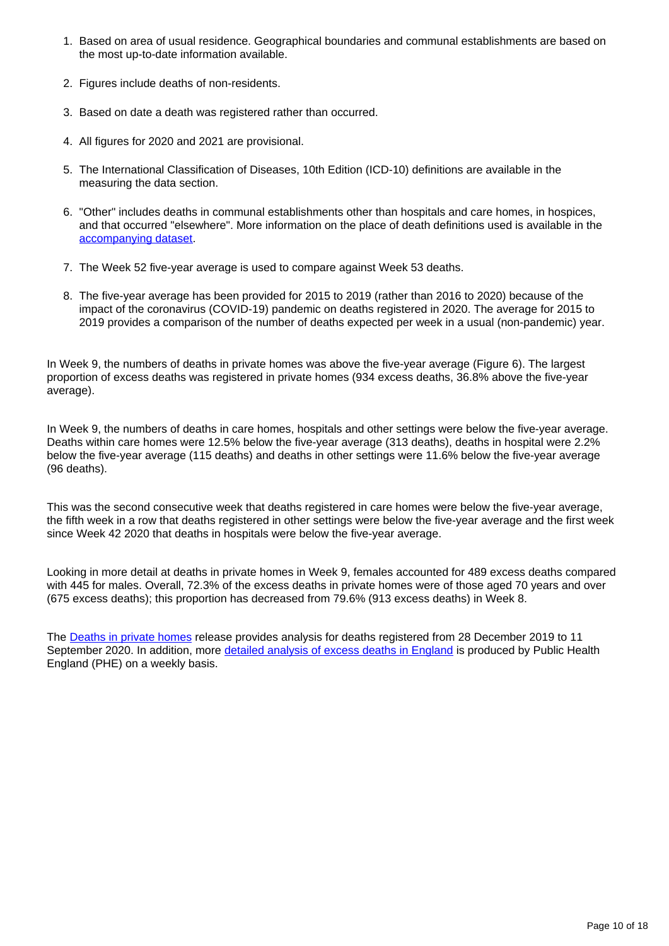- 1. Based on area of usual residence. Geographical boundaries and communal establishments are based on the most up-to-date information available.
- 2. Figures include deaths of non-residents.
- 3. Based on date a death was registered rather than occurred.
- 4. All figures for 2020 and 2021 are provisional.
- 5. The International Classification of Diseases, 10th Edition (ICD-10) definitions are available in the measuring the data section.
- 6. "Other" includes deaths in communal establishments other than hospitals and care homes, in hospices, and that occurred "elsewhere". More information on the place of death definitions used is available in the [accompanying dataset.](https://www.ons.gov.uk/peoplepopulationandcommunity/birthsdeathsandmarriages/deaths/datasets/weeklyprovisionalfiguresondeathsregisteredinenglandandwales)
- 7. The Week 52 five-year average is used to compare against Week 53 deaths.
- 8. The five-year average has been provided for 2015 to 2019 (rather than 2016 to 2020) because of the impact of the coronavirus (COVID-19) pandemic on deaths registered in 2020. The average for 2015 to 2019 provides a comparison of the number of deaths expected per week in a usual (non-pandemic) year.

In Week 9, the numbers of deaths in private homes was above the five-year average (Figure 6). The largest proportion of excess deaths was registered in private homes (934 excess deaths, 36.8% above the five-year average).

In Week 9, the numbers of deaths in care homes, hospitals and other settings were below the five-year average. Deaths within care homes were 12.5% below the five-year average (313 deaths), deaths in hospital were 2.2% below the five-year average (115 deaths) and deaths in other settings were 11.6% below the five-year average (96 deaths).

This was the second consecutive week that deaths registered in care homes were below the five-year average, the fifth week in a row that deaths registered in other settings were below the five-year average and the first week since Week 42 2020 that deaths in hospitals were below the five-year average.

Looking in more detail at deaths in private homes in Week 9, females accounted for 489 excess deaths compared with 445 for males. Overall, 72.3% of the excess deaths in private homes were of those aged 70 years and over (675 excess deaths); this proportion has decreased from 79.6% (913 excess deaths) in Week 8.

The [Deaths in private homes](https://www.ons.gov.uk/peoplepopulationandcommunity/birthsdeathsandmarriages/deaths/articles/deathsinprivatehomesenglandandwalesprovisional/deathsregisteredfrom28december2019to11september2020) release provides analysis for deaths registered from 28 December 2019 to 11 September 2020. In addition, more [detailed analysis of excess deaths in England](https://www.gov.uk/government/publications/excess-mortality-in-england-weekly-reports) is produced by Public Health England (PHE) on a weekly basis.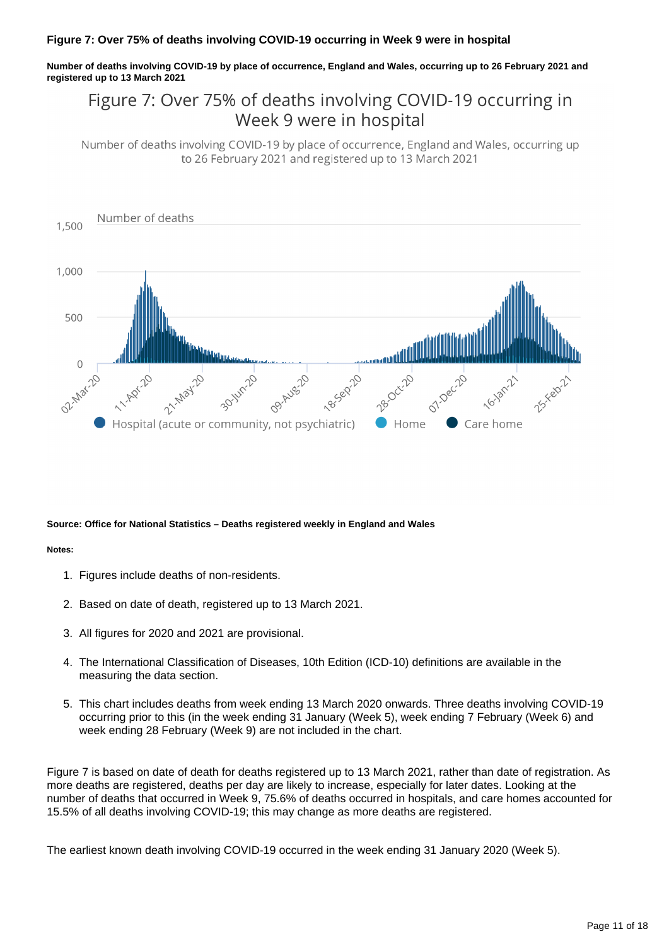#### **Figure 7: Over 75% of deaths involving COVID-19 occurring in Week 9 were in hospital**

**Number of deaths involving COVID-19 by place of occurrence, England and Wales, occurring up to 26 February 2021 and registered up to 13 March 2021**

### Figure 7: Over 75% of deaths involving COVID-19 occurring in Week 9 were in hospital

Number of deaths involving COVID-19 by place of occurrence, England and Wales, occurring up to 26 February 2021 and registered up to 13 March 2021



#### **Source: Office for National Statistics – Deaths registered weekly in England and Wales**

#### **Notes:**

- 1. Figures include deaths of non-residents.
- 2. Based on date of death, registered up to 13 March 2021.
- 3. All figures for 2020 and 2021 are provisional.
- 4. The International Classification of Diseases, 10th Edition (ICD-10) definitions are available in the measuring the data section.
- 5. This chart includes deaths from week ending 13 March 2020 onwards. Three deaths involving COVID-19 occurring prior to this (in the week ending 31 January (Week 5), week ending 7 February (Week 6) and week ending 28 February (Week 9) are not included in the chart.

Figure 7 is based on date of death for deaths registered up to 13 March 2021, rather than date of registration. As more deaths are registered, deaths per day are likely to increase, especially for later dates. Looking at the number of deaths that occurred in Week 9, 75.6% of deaths occurred in hospitals, and care homes accounted for 15.5% of all deaths involving COVID-19; this may change as more deaths are registered.

The earliest known death involving COVID-19 occurred in the week ending 31 January 2020 (Week 5).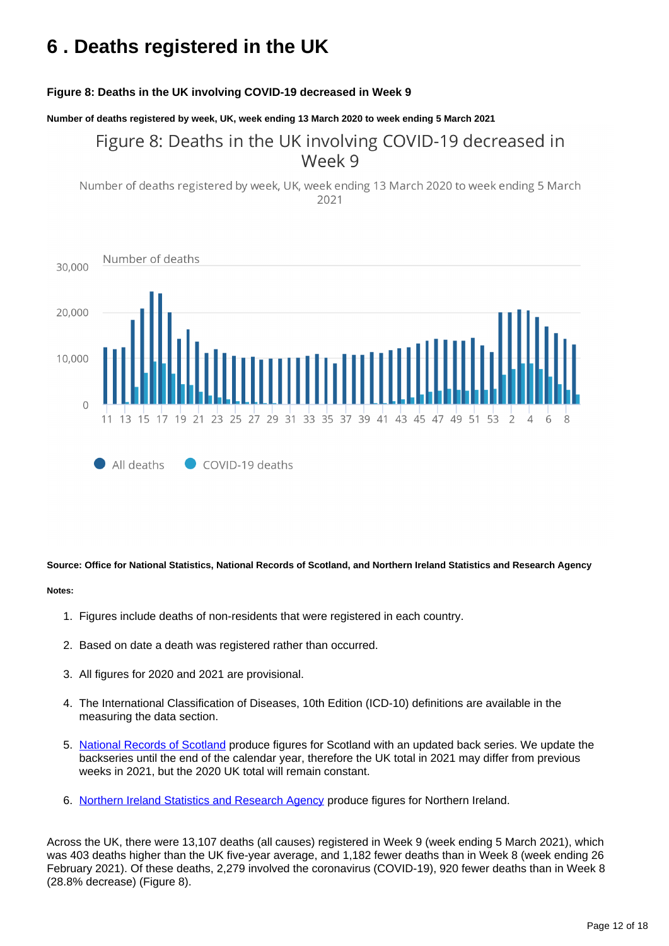## <span id="page-11-0"></span>**6 . Deaths registered in the UK**

#### **Figure 8: Deaths in the UK involving COVID-19 decreased in Week 9**

**Number of deaths registered by week, UK, week ending 13 March 2020 to week ending 5 March 2021**

### Figure 8: Deaths in the UK involving COVID-19 decreased in Week 9

Number of deaths registered by week, UK, week ending 13 March 2020 to week ending 5 March 2021



**Source: Office for National Statistics, National Records of Scotland, and Northern Ireland Statistics and Research Agency**

#### **Notes:**

- 1. Figures include deaths of non-residents that were registered in each country.
- 2. Based on date a death was registered rather than occurred.
- 3. All figures for 2020 and 2021 are provisional.
- 4. The International Classification of Diseases, 10th Edition (ICD-10) definitions are available in the measuring the data section.
- 5. [National Records of Scotland](https://www.nrscotland.gov.uk/statistics-and-data/statistics/statistics-by-theme/vital-events/general-publications/weekly-and-monthly-data-on-births-and-deaths-registered-in-scotland) produce figures for Scotland with an updated back series. We update the backseries until the end of the calendar year, therefore the UK total in 2021 may differ from previous weeks in 2021, but the 2020 UK total will remain constant.
- 6. [Northern Ireland Statistics and Research Agency](https://www.nisra.gov.uk/publications/weekly-deaths) produce figures for Northern Ireland.

Across the UK, there were 13,107 deaths (all causes) registered in Week 9 (week ending 5 March 2021), which was 403 deaths higher than the UK five-year average, and 1,182 fewer deaths than in Week 8 (week ending 26 February 2021). Of these deaths, 2,279 involved the coronavirus (COVID-19), 920 fewer deaths than in Week 8 (28.8% decrease) (Figure 8).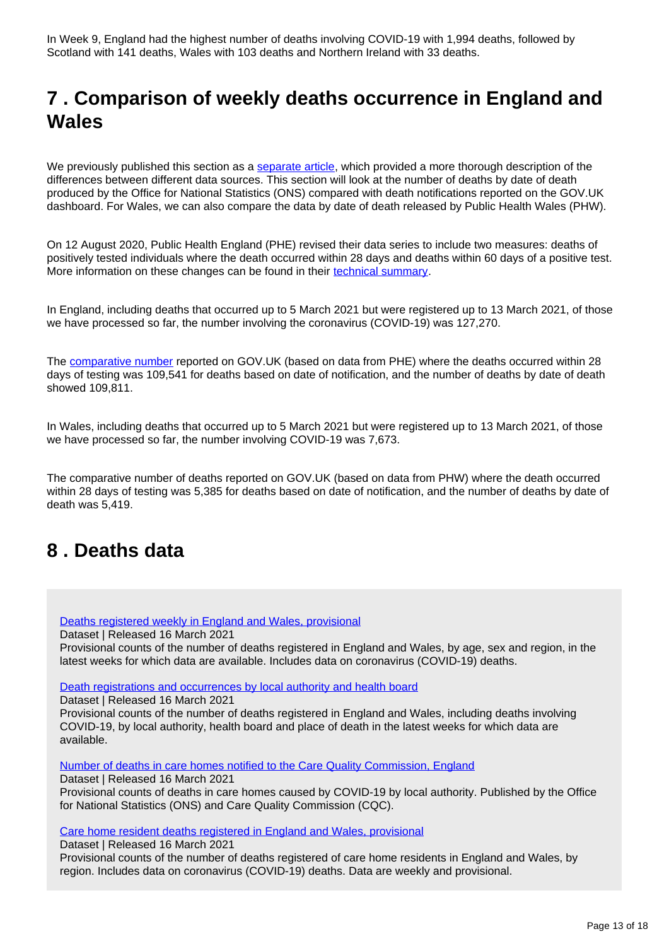## <span id="page-12-0"></span>**7 . Comparison of weekly deaths occurrence in England and Wales**

We previously published this section as a [separate article](https://www.ons.gov.uk/peoplepopulationandcommunity/healthandsocialcare/causesofdeath/articles/comparisonofweeklydeathoccurrencesinenglandandwales/previousReleases), which provided a more thorough description of the differences between different data sources. This section will look at the number of deaths by date of death produced by the Office for National Statistics (ONS) compared with death notifications reported on the GOV.UK dashboard. For Wales, we can also compare the data by date of death released by Public Health Wales (PHW).

On 12 August 2020, Public Health England (PHE) revised their data series to include two measures: deaths of positively tested individuals where the death occurred within 28 days and deaths within 60 days of a positive test. More information on these changes can be found in their [technical summary](https://www.gov.uk/government/publications/phe-data-series-on-deaths-in-people-with-covid-19-technical-summary).

In England, including deaths that occurred up to 5 March 2021 but were registered up to 13 March 2021, of those we have processed so far, the number involving the coronavirus (COVID-19) was 127,270.

The [comparative number](https://coronavirus.data.gov.uk/details/deaths) reported on GOV.UK (based on data from PHE) where the deaths occurred within 28 days of testing was 109,541 for deaths based on date of notification, and the number of deaths by date of death showed 109,811.

In Wales, including deaths that occurred up to 5 March 2021 but were registered up to 13 March 2021, of those we have processed so far, the number involving COVID-19 was 7,673.

The comparative number of deaths reported on GOV.UK (based on data from PHW) where the death occurred within 28 days of testing was 5,385 for deaths based on date of notification, and the number of deaths by date of death was 5,419.

## <span id="page-12-1"></span>**8 . Deaths data**

[Deaths registered weekly in England and Wales, provisional](https://www.ons.gov.uk/peoplepopulationandcommunity/birthsdeathsandmarriages/deaths/datasets/weeklyprovisionalfiguresondeathsregisteredinenglandandwales)

Dataset | Released 16 March 2021

Provisional counts of the number of deaths registered in England and Wales, by age, sex and region, in the latest weeks for which data are available. Includes data on coronavirus (COVID-19) deaths.

[Death registrations and occurrences by local authority and health board](https://www.ons.gov.uk/peoplepopulationandcommunity/healthandsocialcare/causesofdeath/datasets/deathregistrationsandoccurrencesbylocalauthorityandhealthboard)

Dataset | Released 16 March 2021

Provisional counts of the number of deaths registered in England and Wales, including deaths involving COVID-19, by local authority, health board and place of death in the latest weeks for which data are available.

[Number of deaths in care homes notified to the Care Quality Commission, England](https://www.ons.gov.uk/peoplepopulationandcommunity/birthsdeathsandmarriages/deaths/datasets/numberofdeathsincarehomesnotifiedtothecarequalitycommissionengland)

Dataset | Released 16 March 2021

Provisional counts of deaths in care homes caused by COVID-19 by local authority. Published by the Office for National Statistics (ONS) and Care Quality Commission (CQC).

[Care home resident deaths registered in England and Wales, provisional](https://www.ons.gov.uk/peoplepopulationandcommunity/birthsdeathsandmarriages/deaths/datasets/carehomeresidentdeathsregisteredinenglandandwalesprovisional)

Dataset | Released 16 March 2021

Provisional counts of the number of deaths registered of care home residents in England and Wales, by region. Includes data on coronavirus (COVID-19) deaths. Data are weekly and provisional.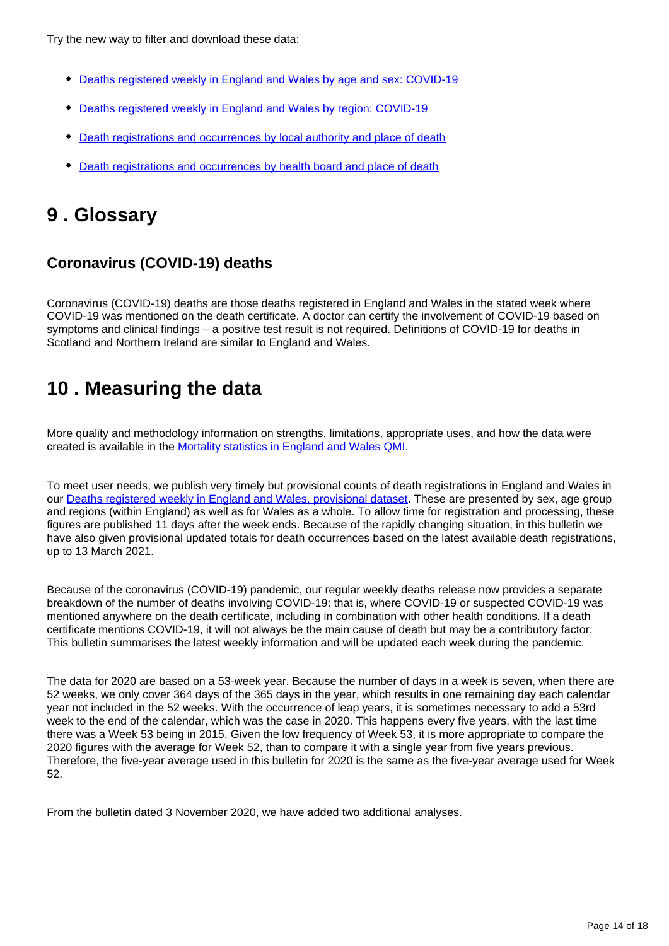Try the new way to filter and download these data:

- [Deaths registered weekly in England and Wales by age and sex: COVID-19](https://www.ons.gov.uk/datasets/weekly-deaths-age-sex?%3Auri=weekly-deaths-age-sex%2F)
- [Deaths registered weekly in England and Wales by region: COVID-19](https://www.ons.gov.uk/datasets/weekly-deaths-region/)
- [Death registrations and occurrences by local authority and place of death](https://www.ons.gov.uk/datasets/weekly-deaths-local-authority/)
- [Death registrations and occurrences by health board and place of death](https://www.ons.gov.uk/datasets/weekly-deaths-health-board/editions/time-series/versions/)

## <span id="page-13-0"></span>**9 . Glossary**

### **Coronavirus (COVID-19) deaths**

Coronavirus (COVID-19) deaths are those deaths registered in England and Wales in the stated week where COVID-19 was mentioned on the death certificate. A doctor can certify the involvement of COVID-19 based on symptoms and clinical findings – a positive test result is not required. Definitions of COVID-19 for deaths in Scotland and Northern Ireland are similar to England and Wales.

## <span id="page-13-1"></span>**10 . Measuring the data**

More quality and methodology information on strengths, limitations, appropriate uses, and how the data were created is available in the [Mortality statistics in England and Wales QMI.](https://www.ons.gov.uk/peoplepopulationandcommunity/birthsdeathsandmarriages/deaths/methodologies/mortalitystatisticsinenglandandwalesqmi)

To meet user needs, we publish very timely but provisional counts of death registrations in England and Wales in our [Deaths registered weekly in England and Wales, provisional dataset](https://www.ons.gov.uk/peoplepopulationandcommunity/birthsdeathsandmarriages/deaths/datasets/weeklyprovisionalfiguresondeathsregisteredinenglandandwales). These are presented by sex, age group and regions (within England) as well as for Wales as a whole. To allow time for registration and processing, these figures are published 11 days after the week ends. Because of the rapidly changing situation, in this bulletin we have also given provisional updated totals for death occurrences based on the latest available death registrations, up to 13 March 2021.

Because of the coronavirus (COVID-19) pandemic, our regular weekly deaths release now provides a separate breakdown of the number of deaths involving COVID-19: that is, where COVID-19 or suspected COVID-19 was mentioned anywhere on the death certificate, including in combination with other health conditions. If a death certificate mentions COVID-19, it will not always be the main cause of death but may be a contributory factor. This bulletin summarises the latest weekly information and will be updated each week during the pandemic.

The data for 2020 are based on a 53-week year. Because the number of days in a week is seven, when there are 52 weeks, we only cover 364 days of the 365 days in the year, which results in one remaining day each calendar year not included in the 52 weeks. With the occurrence of leap years, it is sometimes necessary to add a 53rd week to the end of the calendar, which was the case in 2020. This happens every five years, with the last time there was a Week 53 being in 2015. Given the low frequency of Week 53, it is more appropriate to compare the 2020 figures with the average for Week 52, than to compare it with a single year from five years previous. Therefore, the five-year average used in this bulletin for 2020 is the same as the five-year average used for Week 52.

From the bulletin dated 3 November 2020, we have added two additional analyses.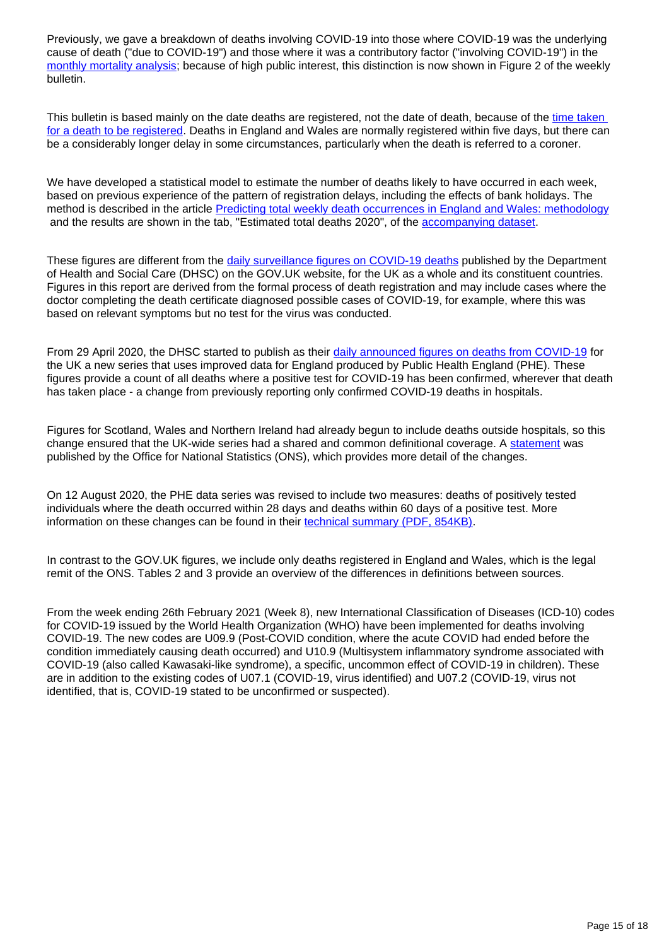Previously, we gave a breakdown of deaths involving COVID-19 into those where COVID-19 was the underlying cause of death ("due to COVID-19") and those where it was a contributory factor ("involving COVID-19") in the [monthly mortality analysis](https://www.ons.gov.uk/peoplepopulationandcommunity/birthsdeathsandmarriages/deaths/bulletins/monthlymortalityanalysisenglandandwales/latest); because of high public interest, this distinction is now shown in Figure 2 of the weekly bulletin.

This bulletin is based mainly on the date deaths are registered, not the date of death, because of the time taken [for a death to be registered.](http://www.ons.gov.uk/peoplepopulationandcommunity/birthsdeathsandmarriages/deaths/articles/impactofregistrationdelaysonmortalitystatisticsinenglandandwales/2019) Deaths in England and Wales are normally registered within five days, but there can be a considerably longer delay in some circumstances, particularly when the death is referred to a coroner.

We have developed a statistical model to estimate the number of deaths likely to have occurred in each week, based on previous experience of the pattern of registration delays, including the effects of bank holidays. The method is described in the article **[Predicting total weekly death occurrences in England and Wales: methodology](https://www.ons.gov.uk/peoplepopulationandcommunity/birthsdeathsandmarriages/deaths/methodologies/predictingtotalweeklydeathoccurrencesinenglandandwalesmethodology)** and the results are shown in the tab, "Estimated total deaths 2020", of the [accompanying dataset.](https://www.ons.gov.uk/peoplepopulationandcommunity/birthsdeathsandmarriages/deaths/datasets/weeklyprovisionalfiguresondeathsregisteredinenglandandwales)

These figures are different from the [daily surveillance figures on COVID-19 deaths](https://coronavirus.data.gov.uk/details/deaths) published by the Department of Health and Social Care (DHSC) on the GOV.UK website, for the UK as a whole and its constituent countries. Figures in this report are derived from the formal process of death registration and may include cases where the doctor completing the death certificate diagnosed possible cases of COVID-19, for example, where this was based on relevant symptoms but no test for the virus was conducted.

From 29 April 2020, the DHSC started to publish as their [daily announced figures on deaths from COVID-19](https://coronavirus.data.gov.uk/details/deaths) for the UK a new series that uses improved data for England produced by Public Health England (PHE). These figures provide a count of all deaths where a positive test for COVID-19 has been confirmed, wherever that death has taken place - a change from previously reporting only confirmed COVID-19 deaths in hospitals.

Figures for Scotland, Wales and Northern Ireland had already begun to include deaths outside hospitals, so this change ensured that the UK-wide series had a shared and common definitional coverage. A [statement](https://www.ons.gov.uk/news/statementsandletters/thedifferentusesoffiguresondeathsfromcovid19publishedbydhscandtheons) was published by the Office for National Statistics (ONS), which provides more detail of the changes.

On 12 August 2020, the PHE data series was revised to include two measures: deaths of positively tested individuals where the death occurred within 28 days and deaths within 60 days of a positive test. More information on these changes can be found in their [technical summary \(PDF, 854KB\).](https://assets.publishing.service.gov.uk/government/uploads/system/uploads/attachment_data/file/908781/Technical_Summary_PHE_Data_Series_COVID-19_Deaths_20200812.pdf)

In contrast to the GOV.UK figures, we include only deaths registered in England and Wales, which is the legal remit of the ONS. Tables 2 and 3 provide an overview of the differences in definitions between sources.

From the week ending 26th February 2021 (Week 8), new International Classification of Diseases (ICD-10) codes for COVID-19 issued by the World Health Organization (WHO) have been implemented for deaths involving COVID-19. The new codes are U09.9 (Post-COVID condition, where the acute COVID had ended before the condition immediately causing death occurred) and U10.9 (Multisystem inflammatory syndrome associated with COVID-19 (also called Kawasaki-like syndrome), a specific, uncommon effect of COVID-19 in children). These are in addition to the existing codes of U07.1 (COVID-19, virus identified) and U07.2 (COVID-19, virus not identified, that is, COVID-19 stated to be unconfirmed or suspected).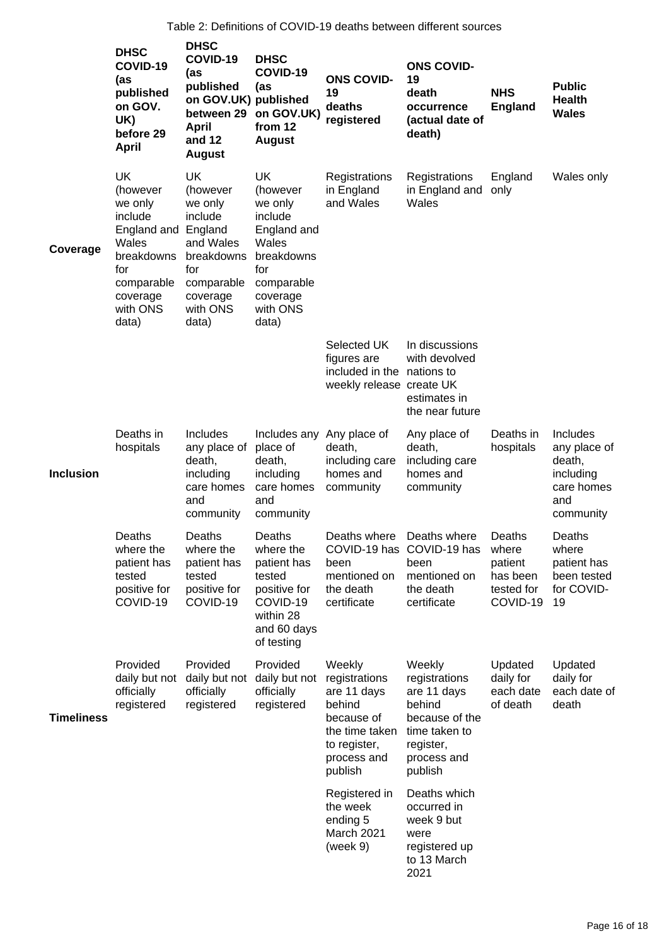|                   | <b>DHSC</b><br>COVID-19<br>(as<br>published<br>on GOV.<br>UK)<br>before 29<br><b>April</b>                                              | <b>DHSC</b><br>COVID-19<br>(as<br>published<br>on GOV.UK) published<br>between 29<br><b>April</b><br>and 12<br><b>August</b>            | <b>DHSC</b><br>COVID-19<br>(as<br>on GOV.UK)<br>from 12<br><b>August</b>                                                                | <b>ONS COVID-</b><br>19<br>deaths<br>registered                                                                            | <b>ONS COVID-</b><br>19<br>death<br>occurrence<br>(actual date of<br>death)                                                | <b>NHS</b><br><b>England</b>                                     | <b>Public</b><br><b>Health</b><br><b>Wales</b>                                    |
|-------------------|-----------------------------------------------------------------------------------------------------------------------------------------|-----------------------------------------------------------------------------------------------------------------------------------------|-----------------------------------------------------------------------------------------------------------------------------------------|----------------------------------------------------------------------------------------------------------------------------|----------------------------------------------------------------------------------------------------------------------------|------------------------------------------------------------------|-----------------------------------------------------------------------------------|
| Coverage          | <b>UK</b><br>(however<br>we only<br>include<br>England and<br>Wales<br>breakdowns<br>for<br>comparable<br>coverage<br>with ONS<br>data) | <b>UK</b><br>(however<br>we only<br>include<br>England<br>and Wales<br>breakdowns<br>for<br>comparable<br>coverage<br>with ONS<br>data) | <b>UK</b><br>(however<br>we only<br>include<br>England and<br>Wales<br>breakdowns<br>for<br>comparable<br>coverage<br>with ONS<br>data) | Registrations<br>in England<br>and Wales                                                                                   | Registrations<br>in England and<br>Wales                                                                                   | England<br>only                                                  | Wales only                                                                        |
|                   |                                                                                                                                         |                                                                                                                                         |                                                                                                                                         | Selected UK<br>figures are<br>included in the nations to<br>weekly release create UK                                       | In discussions<br>with devolved<br>estimates in<br>the near future                                                         |                                                                  |                                                                                   |
| <b>Inclusion</b>  | Deaths in<br>hospitals                                                                                                                  | Includes<br>any place of<br>death,<br>including<br>care homes<br>and<br>community                                                       | Includes any<br>place of<br>death,<br>including<br>care homes<br>and<br>community                                                       | Any place of<br>death,<br>including care<br>homes and<br>community                                                         | Any place of<br>death,<br>including care<br>homes and<br>community                                                         | Deaths in<br>hospitals                                           | Includes<br>any place of<br>death,<br>including<br>care homes<br>and<br>community |
|                   | Deaths<br>where the<br>patient has<br>tested<br>positive for<br>COVID-19                                                                | Deaths<br>where the<br>patient has<br>tested<br>positive for<br>COVID-19                                                                | Deaths<br>where the<br>patient has<br>tested<br>positive for<br>COVID-19<br>within 28<br>and 60 days<br>of testing                      | Deaths where Deaths where<br>been<br>mentioned on<br>the death<br>certificate                                              | COVID-19 has COVID-19 has<br>been<br>mentioned on<br>the death<br>certificate                                              | Deaths<br>where<br>patient<br>has been<br>tested for<br>COVID-19 | Deaths<br>where<br>patient has<br>been tested<br>for COVID-<br>19                 |
| <b>Timeliness</b> | Provided<br>daily but not<br>officially<br>registered                                                                                   | Provided<br>officially<br>registered                                                                                                    | Provided<br>daily but not daily but not<br>officially<br>registered                                                                     | Weekly<br>registrations<br>are 11 days<br>behind<br>because of<br>the time taken<br>to register,<br>process and<br>publish | Weekly<br>registrations<br>are 11 days<br>behind<br>because of the<br>time taken to<br>register,<br>process and<br>publish | Updated<br>daily for<br>each date<br>of death                    | Updated<br>daily for<br>each date of<br>death                                     |
|                   |                                                                                                                                         |                                                                                                                                         |                                                                                                                                         | Registered in<br>the week<br>ending 5<br>March 2021<br>(week 9)                                                            | Deaths which<br>occurred in<br>week 9 but<br>were<br>registered up<br>to 13 March<br>2021                                  |                                                                  |                                                                                   |

Table 2: Definitions of COVID-19 deaths between different sources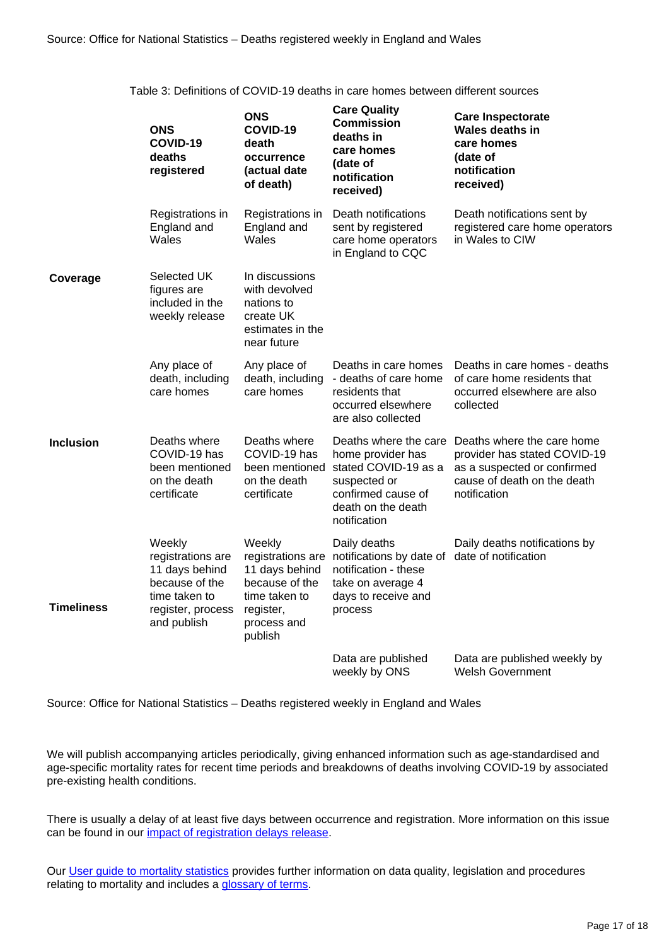Table 3: Definitions of COVID-19 deaths in care homes between different sources

|                   | <b>ONS</b><br>COVID-19<br>deaths<br>registered                                                                       | <b>ONS</b><br>COVID-19<br>death<br>occurrence<br>(actual date<br>of death)                         | <b>Care Quality</b><br><b>Commission</b><br>deaths in<br>care homes<br>(date of<br>notification<br>received)                                                   | <b>Care Inspectorate</b><br><b>Wales deaths in</b><br>care homes<br>(date of<br>notification<br>received)                                |
|-------------------|----------------------------------------------------------------------------------------------------------------------|----------------------------------------------------------------------------------------------------|----------------------------------------------------------------------------------------------------------------------------------------------------------------|------------------------------------------------------------------------------------------------------------------------------------------|
|                   | Registrations in<br>England and<br>Wales                                                                             | Registrations in<br>England and<br>Wales                                                           | Death notifications<br>sent by registered<br>care home operators<br>in England to CQC                                                                          | Death notifications sent by<br>registered care home operators<br>in Wales to CIW                                                         |
| Coverage          | Selected UK<br>figures are<br>included in the<br>weekly release                                                      | In discussions<br>with devolved<br>nations to<br>create UK<br>estimates in the<br>near future      |                                                                                                                                                                |                                                                                                                                          |
|                   | Any place of<br>death, including<br>care homes                                                                       | Any place of<br>death, including<br>care homes                                                     | Deaths in care homes<br>- deaths of care home<br>residents that<br>occurred elsewhere<br>are also collected                                                    | Deaths in care homes - deaths<br>of care home residents that<br>occurred elsewhere are also<br>collected                                 |
| <b>Inclusion</b>  | Deaths where<br>COVID-19 has<br>been mentioned<br>on the death<br>certificate                                        | Deaths where<br>COVID-19 has<br>been mentioned<br>on the death<br>certificate                      | Deaths where the care<br>home provider has<br>stated COVID-19 as a<br>suspected or<br>confirmed cause of<br>death on the death<br>notification                 | Deaths where the care home<br>provider has stated COVID-19<br>as a suspected or confirmed<br>cause of death on the death<br>notification |
| <b>Timeliness</b> | Weekly<br>registrations are<br>11 days behind<br>because of the<br>time taken to<br>register, process<br>and publish | Weekly<br>11 days behind<br>because of the<br>time taken to<br>register,<br>process and<br>publish | Daily deaths<br>registrations are notifications by date of date of notification<br>notification - these<br>take on average 4<br>days to receive and<br>process | Daily deaths notifications by                                                                                                            |
|                   |                                                                                                                      |                                                                                                    | Data are published<br>weekly by ONS                                                                                                                            | Data are published weekly by<br><b>Welsh Government</b>                                                                                  |

Source: Office for National Statistics – Deaths registered weekly in England and Wales

We will publish accompanying articles periodically, giving enhanced information such as age-standardised and age-specific mortality rates for recent time periods and breakdowns of deaths involving COVID-19 by associated pre-existing health conditions.

There is usually a delay of at least five days between occurrence and registration. More information on this issue can be found in our *impact* of registration delays release.

Our [User guide to mortality statistics](https://www.ons.gov.uk/peoplepopulationandcommunity/birthsdeathsandmarriages/deaths/methodologies/userguidetomortalitystatistics) provides further information on data quality, legislation and procedures relating to mortality and includes a [glossary of terms](https://www.ons.gov.uk/peoplepopulationandcommunity/birthsdeathsandmarriages/deaths/methodologies/userguidetomortalitystatisticsjuly2017#glossary).